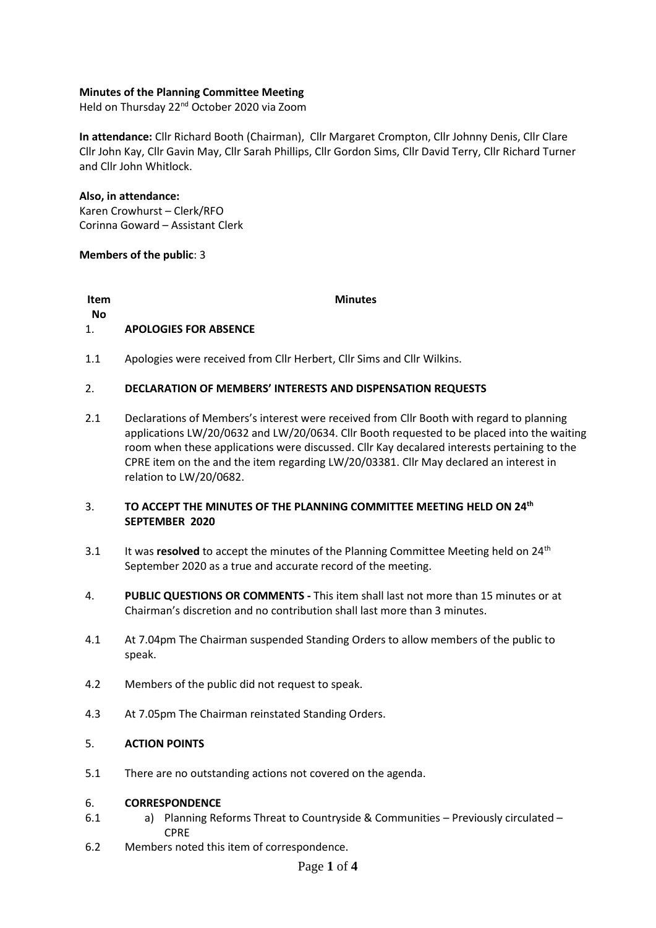## **Minutes of the Planning Committee Meeting**

Held on Thursday 22<sup>nd</sup> October 2020 via Zoom

**In attendance:** Cllr Richard Booth (Chairman), Cllr Margaret Crompton, Cllr Johnny Denis, Cllr Clare Cllr John Kay, Cllr Gavin May, Cllr Sarah Phillips, Cllr Gordon Sims, Cllr David Terry, Cllr Richard Turner and Cllr John Whitlock.

**Also, in attendance:**  Karen Crowhurst – Clerk/RFO Corinna Goward – Assistant Clerk

## **Members of the public**: 3

**Item** 

**Minutes**

### **No** 1. **APOLOGIES FOR ABSENCE**

1.1 Apologies were received from Cllr Herbert, Cllr Sims and Cllr Wilkins.

#### 2. **DECLARATION OF MEMBERS' INTERESTS AND DISPENSATION REQUESTS**

2.1 Declarations of Members's interest were received from Cllr Booth with regard to planning applications LW/20/0632 and LW/20/0634. Cllr Booth requested to be placed into the waiting room when these applications were discussed. Cllr Kay decalared interests pertaining to the CPRE item on the and the item regarding LW/20/03381. Cllr May declared an interest in relation to LW/20/0682.

## 3. **TO ACCEPT THE MINUTES OF THE PLANNING COMMITTEE MEETING HELD ON 24th SEPTEMBER 2020**

- 3.1 It was **resolved** to accept the minutes of the Planning Committee Meeting held on 24<sup>th</sup> September 2020 as a true and accurate record of the meeting.
- 4. **PUBLIC QUESTIONS OR COMMENTS -** This item shall last not more than 15 minutes or at Chairman's discretion and no contribution shall last more than 3 minutes.
- 4.1 At 7.04pm The Chairman suspended Standing Orders to allow members of the public to speak.
- 4.2 Members of the public did not request to speak.
- 4.3 At 7.05pm The Chairman reinstated Standing Orders.

#### 5. **ACTION POINTS**

5.1 There are no outstanding actions not covered on the agenda.

#### 6. **CORRESPONDENCE**

- 6.1 a) Planning Reforms Threat to Countryside & Communities – Previously circulated – CPRE
- 6.2 Members noted this item of correspondence.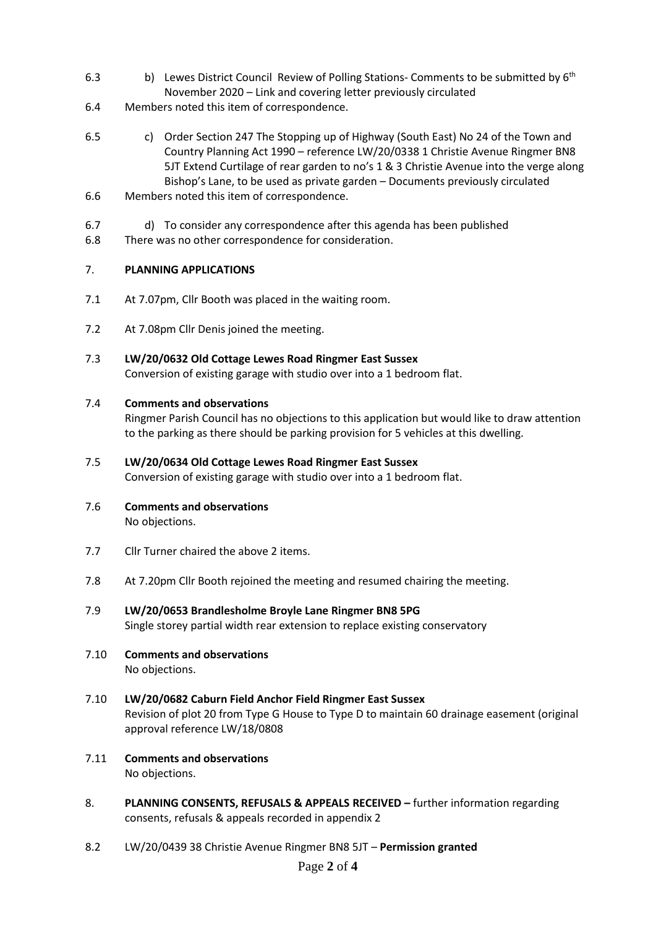- 6.3 b) Lewes District Council Review of Polling Stations- Comments to be submitted by 6<sup>th</sup> November 2020 – Link and covering letter previously circulated
- 6.4 Members noted this item of correspondence.
- 6.5 c) Order Section 247 The Stopping up of Highway (South East) No 24 of the Town and Country Planning Act 1990 – reference LW/20/0338 1 Christie Avenue Ringmer BN8 5JT Extend Curtilage of rear garden to no's 1 & 3 Christie Avenue into the verge along Bishop's Lane, to be used as private garden – Documents previously circulated
- 6.6 Members noted this item of correspondence.
- 6.7 d) To consider any correspondence after this agenda has been published
- 6.8 There was no other correspondence for consideration.

#### 7. **PLANNING APPLICATIONS**

- 7.1 At 7.07pm, Cllr Booth was placed in the waiting room.
- 7.2 At 7.08pm Cllr Denis joined the meeting.
- 7.3 **LW/20/0632 Old Cottage Lewes Road Ringmer East Sussex** Conversion of existing garage with studio over into a 1 bedroom flat.

#### 7.4 **Comments and observations**

Ringmer Parish Council has no objections to this application but would like to draw attention to the parking as there should be parking provision for 5 vehicles at this dwelling.

7.5 **LW/20/0634 Old Cottage Lewes Road Ringmer East Sussex**

Conversion of existing garage with studio over into a 1 bedroom flat.

- 7.6 **Comments and observations** No objections.
- 7.7 Cllr Turner chaired the above 2 items.
- 7.8 At 7.20pm Cllr Booth rejoined the meeting and resumed chairing the meeting.
- 7.9 **LW/20/0653 Brandlesholme Broyle Lane Ringmer BN8 5PG** Single storey partial width rear extension to replace existing conservatory
- 7.10 **Comments and observations** No objections.
- 7.10 **LW/20/0682 Caburn Field Anchor Field Ringmer East Sussex** Revision of plot 20 from Type G House to Type D to maintain 60 drainage easement (original approval reference LW/18/0808
- 7.11 **Comments and observations** No objections.
- 8. **PLANNING CONSENTS, REFUSALS & APPEALS RECEIVED –** further information regarding consents, refusals & appeals recorded in appendix 2
- 8.2 LW/20/0439 38 Christie Avenue Ringmer BN8 5JT – **Permission granted**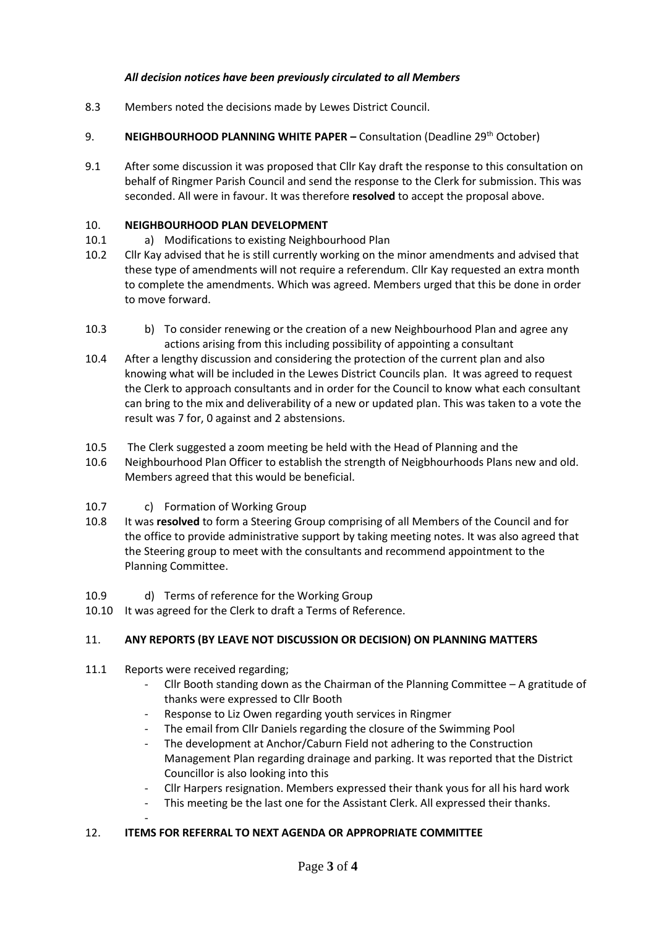# *All decision notices have been previously circulated to all Members*

- 8.3 Members noted the decisions made by Lewes District Council.
- 9. **NEIGHBOURHOOD PLANNING WHITE PAPER – Consultation (Deadline 29<sup>th</sup> October)**
- 9.1 After some discussion it was proposed that Cllr Kay draft the response to this consultation on behalf of Ringmer Parish Council and send the response to the Clerk for submission. This was seconded. All were in favour. It was therefore **resolved** to accept the proposal above.

#### 10. **NEIGHBOURHOOD PLAN DEVELOPMENT**

- 10.1 a) Modifications to existing Neighbourhood Plan
- 10.2 Cllr Kay advised that he is still currently working on the minor amendments and advised that these type of amendments will not require a referendum. Cllr Kay requested an extra month to complete the amendments. Which was agreed. Members urged that this be done in order to move forward.
- 10.3 b) To consider renewing or the creation of a new Neighbourhood Plan and agree any actions arising from this including possibility of appointing a consultant
- 10.4 After a lengthy discussion and considering the protection of the current plan and also knowing what will be included in the Lewes District Councils plan. It was agreed to request the Clerk to approach consultants and in order for the Council to know what each consultant can bring to the mix and deliverability of a new or updated plan. This was taken to a vote the result was 7 for, 0 against and 2 abstensions.
- 10.5 The Clerk suggested a zoom meeting be held with the Head of Planning and the
- 10.6 Neighbourhood Plan Officer to establish the strength of Neigbhourhoods Plans new and old. Members agreed that this would be beneficial.
- 10.7 c) Formation of Working Group
- 10.8 It was **resolved** to form a Steering Group comprising of all Members of the Council and for the office to provide administrative support by taking meeting notes. It was also agreed that the Steering group to meet with the consultants and recommend appointment to the Planning Committee.
- 10.9 d) Terms of reference for the Working Group
- 10.10 It was agreed for the Clerk to draft a Terms of Reference.

#### 11. **ANY REPORTS (BY LEAVE NOT DISCUSSION OR DECISION) ON PLANNING MATTERS**

11.1 Reports were received regarding;

-

- Cllr Booth standing down as the Chairman of the Planning Committee  $-$  A gratitude of thanks were expressed to Cllr Booth
- Response to Liz Owen regarding youth services in Ringmer
- The email from Cllr Daniels regarding the closure of the Swimming Pool
- The development at Anchor/Caburn Field not adhering to the Construction Management Plan regarding drainage and parking. It was reported that the District Councillor is also looking into this
- Cllr Harpers resignation. Members expressed their thank yous for all his hard work
- This meeting be the last one for the Assistant Clerk. All expressed their thanks.

# 12. **ITEMS FOR REFERRAL TO NEXT AGENDA OR APPROPRIATE COMMITTEE**